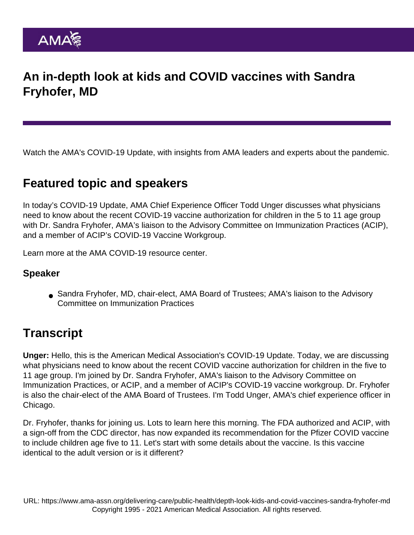## An in-depth look at kids and COVID vaccines with Sandra Fryhofer, MD

Watch the AMA's COVID-19 Update, with insights from AMA leaders and experts about the pandemic.

## Featured topic and speakers

In today's COVID-19 Update, AMA Chief Experience Officer Todd Unger discusses what physicians need to know about the recent COVID-19 vaccine authorization for children in the 5 to 11 age group with Dr. Sandra Fryhofer, AMA's liaison to the Advisory Committee on Immunization Practices (ACIP), and a member of ACIP's COVID-19 Vaccine Workgroup.

Learn more at the [AMA COVID-19 resource center](https://www.ama-assn.org/delivering-care/public-health/covid-19-2019-novel-coronavirus-resource-center-physicians).

## Speaker

Sandra Fryhofer, MD, chair-elect, AMA Board of Trustees; AMA's liaison to the Advisory Committee on Immunization Practices

## **Transcript**

Unger: Hello, this is the American Medical Association's COVID-19 Update. Today, we are discussing what physicians need to know about the recent COVID vaccine authorization for children in the five to 11 age group. I'm joined by Dr. Sandra Fryhofer, AMA's liaison to the Advisory Committee on Immunization Practices, or ACIP, and a member of ACIP's COVID-19 vaccine workgroup. Dr. Fryhofer is also the chair-elect of the AMA Board of Trustees. I'm Todd Unger, AMA's chief experience officer in Chicago.

Dr. Fryhofer, thanks for joining us. Lots to learn here this morning. The FDA authorized and ACIP, with a sign-off from the CDC director, has now expanded its recommendation for the Pfizer COVID vaccine to include children age five to 11. Let's start with some details about the vaccine. Is this vaccine identical to the adult version or is it different?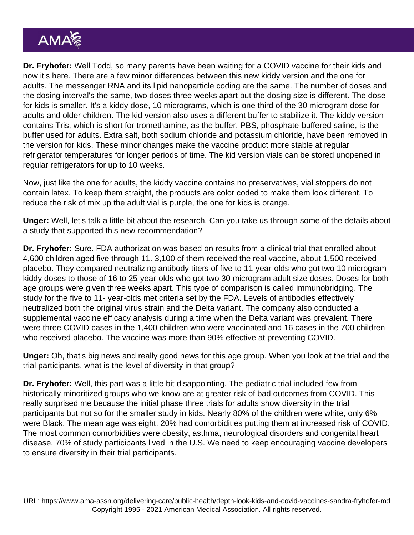Dr. Fryhofer: Well Todd, so many parents have been waiting for a COVID vaccine for their kids and now it's here. There are a few minor differences between this new kiddy version and the one for adults. The messenger RNA and its lipid nanoparticle coding are the same. The number of doses and the dosing interval's the same, two doses three weeks apart but the dosing size is different. The dose for kids is smaller. It's a kiddy dose, 10 micrograms, which is one third of the 30 microgram dose for adults and older children. The kid version also uses a different buffer to stabilize it. The kiddy version contains Tris, which is short for tromethamine, as the buffer. PBS, phosphate-buffered saline, is the buffer used for adults. Extra salt, both sodium chloride and potassium chloride, have been removed in the version for kids. These minor changes make the vaccine product more stable at regular refrigerator temperatures for longer periods of time. The kid version vials can be stored unopened in regular refrigerators for up to 10 weeks.

Now, just like the one for adults, the kiddy vaccine contains no preservatives, vial stoppers do not contain latex. To keep them straight, the products are color coded to make them look different. To reduce the risk of mix up the adult vial is purple, the one for kids is orange.

Unger: Well, let's talk a little bit about the research. Can you take us through some of the details about a study that supported this new recommendation?

Dr. Fryhofer: Sure. FDA authorization was based on results from a clinical trial that enrolled about 4,600 children aged five through 11. 3,100 of them received the real vaccine, about 1,500 received placebo. They compared neutralizing antibody titers of five to 11-year-olds who got two 10 microgram kiddy doses to those of 16 to 25-year-olds who got two 30 microgram adult size doses. Doses for both age groups were given three weeks apart. This type of comparison is called immunobridging. The study for the five to 11- year-olds met criteria set by the FDA. Levels of antibodies effectively neutralized both the original virus strain and the Delta variant. The company also conducted a supplemental vaccine efficacy analysis during a time when the Delta variant was prevalent. There were three COVID cases in the 1,400 children who were vaccinated and 16 cases in the 700 children who received placebo. The vaccine was more than 90% effective at preventing COVID.

Unger: Oh, that's big news and really good news for this age group. When you look at the trial and the trial participants, what is the level of diversity in that group?

Dr. Fryhofer: Well, this part was a little bit disappointing. The pediatric trial included few from historically minoritized groups who we know are at greater risk of bad outcomes from COVID. This really surprised me because the initial phase three trials for adults show diversity in the trial participants but not so for the smaller study in kids. Nearly 80% of the children were white, only 6% were Black. The mean age was eight. 20% had comorbidities putting them at increased risk of COVID. The most common comorbidities were obesity, asthma, neurological disorders and congenital heart disease. 70% of study participants lived in the U.S. We need to keep encouraging vaccine developers to ensure diversity in their trial participants.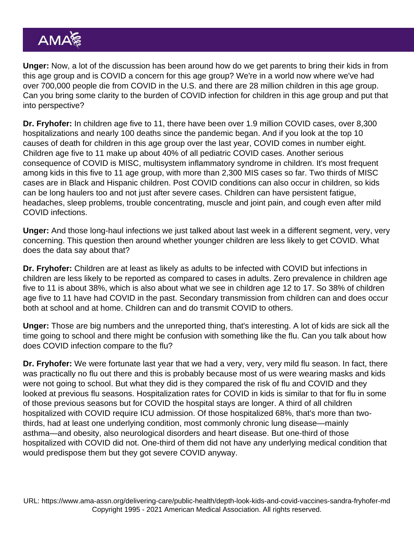Unger: Now, a lot of the discussion has been around how do we get parents to bring their kids in from this age group and is COVID a concern for this age group? We're in a world now where we've had over 700,000 people die from COVID in the U.S. and there are 28 million children in this age group. Can you bring some clarity to the burden of COVID infection for children in this age group and put that into perspective?

Dr. Fryhofer: In children age five to 11, there have been over 1.9 million COVID cases, over 8,300 hospitalizations and nearly 100 deaths since the pandemic began. And if you look at the top 10 causes of death for children in this age group over the last year, COVID comes in number eight. Children age five to 11 make up about 40% of all pediatric COVID cases. Another serious consequence of COVID is MISC, multisystem inflammatory syndrome in children. It's most frequent among kids in this five to 11 age group, with more than 2,300 MIS cases so far. Two thirds of MISC cases are in Black and Hispanic children. Post COVID conditions can also occur in children, so kids can be long haulers too and not just after severe cases. Children can have persistent fatigue, headaches, sleep problems, trouble concentrating, muscle and joint pain, and cough even after mild COVID infections.

Unger: And those long-haul infections we just talked about last week in a different segment, very, very concerning. This question then around whether younger children are less likely to get COVID. What does the data say about that?

Dr. Fryhofer: Children are at least as likely as adults to be infected with COVID but infections in children are less likely to be reported as compared to cases in adults. Zero prevalence in children age five to 11 is about 38%, which is also about what we see in children age 12 to 17. So 38% of children age five to 11 have had COVID in the past. Secondary transmission from children can and does occur both at school and at home. Children can and do transmit COVID to others.

Unger: Those are big numbers and the unreported thing, that's interesting. A lot of kids are sick all the time going to school and there might be confusion with something like the flu. Can you talk about how does COVID infection compare to the flu?

Dr. Fryhofer: We were fortunate last year that we had a very, very, very mild flu season. In fact, there was practically no flu out there and this is probably because most of us were wearing masks and kids were not going to school. But what they did is they compared the risk of flu and COVID and they looked at previous flu seasons. Hospitalization rates for COVID in kids is similar to that for flu in some of those previous seasons but for COVID the hospital stays are longer. A third of all children hospitalized with COVID require ICU admission. Of those hospitalized 68%, that's more than twothirds, had at least one underlying condition, most commonly chronic lung disease—mainly asthma—and obesity, also neurological disorders and heart disease. But one-third of those hospitalized with COVID did not. One-third of them did not have any underlying medical condition that would predispose them but they got severe COVID anyway.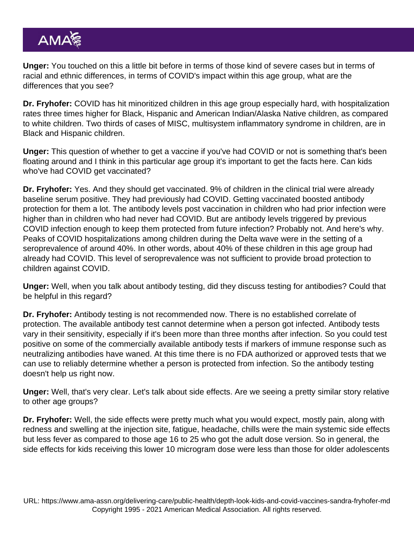Unger: You touched on this a little bit before in terms of those kind of severe cases but in terms of racial and ethnic differences, in terms of COVID's impact within this age group, what are the differences that you see?

Dr. Fryhofer: COVID has hit minoritized children in this age group especially hard, with hospitalization rates three times higher for Black, Hispanic and American Indian/Alaska Native children, as compared to white children. Two thirds of cases of MISC, multisystem inflammatory syndrome in children, are in Black and Hispanic children.

Unger: This question of whether to get a vaccine if you've had COVID or not is something that's been floating around and I think in this particular age group it's important to get the facts here. Can kids who've had COVID get vaccinated?

Dr. Fryhofer: Yes. And they should get vaccinated. 9% of children in the clinical trial were already baseline serum positive. They had previously had COVID. Getting vaccinated boosted antibody protection for them a lot. The antibody levels post vaccination in children who had prior infection were higher than in children who had never had COVID. But are antibody levels triggered by previous COVID infection enough to keep them protected from future infection? Probably not. And here's why. Peaks of COVID hospitalizations among children during the Delta wave were in the setting of a seroprevalence of around 40%. In other words, about 40% of these children in this age group had already had COVID. This level of seroprevalence was not sufficient to provide broad protection to children against COVID.

Unger: Well, when you talk about antibody testing, did they discuss testing for antibodies? Could that be helpful in this regard?

Dr. Fryhofer: Antibody testing is not recommended now. There is no established correlate of protection. The available antibody test cannot determine when a person got infected. Antibody tests vary in their sensitivity, especially if it's been more than three months after infection. So you could test positive on some of the commercially available antibody tests if markers of immune response such as neutralizing antibodies have waned. At this time there is no FDA authorized or approved tests that we can use to reliably determine whether a person is protected from infection. So the antibody testing doesn't help us right now.

Unger: Well, that's very clear. Let's talk about side effects. Are we seeing a pretty similar story relative to other age groups?

Dr. Fryhofer: Well, the side effects were pretty much what you would expect, mostly pain, along with redness and swelling at the injection site, fatigue, headache, chills were the main systemic side effects but less fever as compared to those age 16 to 25 who got the adult dose version. So in general, the side effects for kids receiving this lower 10 microgram dose were less than those for older adolescents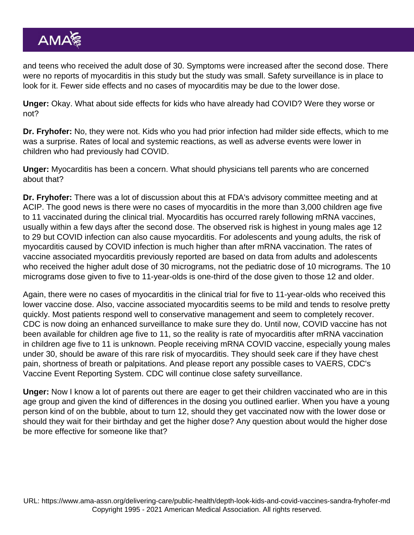and teens who received the adult dose of 30. Symptoms were increased after the second dose. There were no reports of myocarditis in this study but the study was small. Safety surveillance is in place to look for it. Fewer side effects and no cases of myocarditis may be due to the lower dose.

Unger: Okay. What about side effects for kids who have already had COVID? Were they worse or not?

Dr. Fryhofer: No, they were not. Kids who you had prior infection had milder side effects, which to me was a surprise. Rates of local and systemic reactions, as well as adverse events were lower in children who had previously had COVID.

Unger: Myocarditis has been a concern. What should physicians tell parents who are concerned about that?

Dr. Fryhofer: There was a lot of discussion about this at FDA's advisory committee meeting and at ACIP. The good news is there were no cases of myocarditis in the more than 3,000 children age five to 11 vaccinated during the clinical trial. Myocarditis has occurred rarely following mRNA vaccines, usually within a few days after the second dose. The observed risk is highest in young males age 12 to 29 but COVID infection can also cause myocarditis. For adolescents and young adults, the risk of myocarditis caused by COVID infection is much higher than after mRNA vaccination. The rates of vaccine associated myocarditis previously reported are based on data from adults and adolescents who received the higher adult dose of 30 micrograms, not the pediatric dose of 10 micrograms. The 10 micrograms dose given to five to 11-year-olds is one-third of the dose given to those 12 and older.

Again, there were no cases of myocarditis in the clinical trial for five to 11-year-olds who received this lower vaccine dose. Also, vaccine associated myocarditis seems to be mild and tends to resolve pretty quickly. Most patients respond well to conservative management and seem to completely recover. CDC is now doing an enhanced surveillance to make sure they do. Until now, COVID vaccine has not been available for children age five to 11, so the reality is rate of myocarditis after mRNA vaccination in children age five to 11 is unknown. People receiving mRNA COVID vaccine, especially young males under 30, should be aware of this rare risk of myocarditis. They should seek care if they have chest pain, shortness of breath or palpitations. And please report any possible cases to VAERS, CDC's Vaccine Event Reporting System. CDC will continue close safety surveillance.

Unger: Now I know a lot of parents out there are eager to get their children vaccinated who are in this age group and given the kind of differences in the dosing you outlined earlier. When you have a young person kind of on the bubble, about to turn 12, should they get vaccinated now with the lower dose or should they wait for their birthday and get the higher dose? Any question about would the higher dose be more effective for someone like that?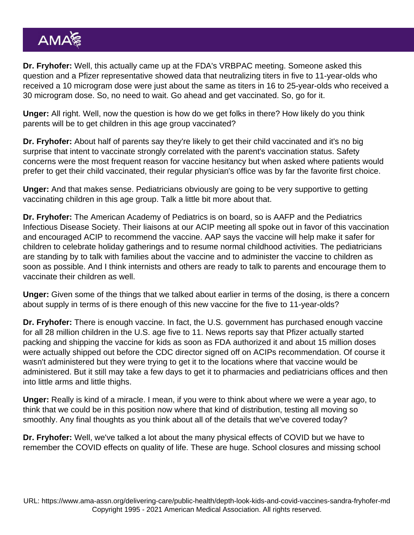Dr. Fryhofer: Well, this actually came up at the FDA's VRBPAC meeting. Someone asked this question and a Pfizer representative showed data that neutralizing titers in five to 11-year-olds who received a 10 microgram dose were just about the same as titers in 16 to 25-year-olds who received a 30 microgram dose. So, no need to wait. Go ahead and get vaccinated. So, go for it.

Unger: All right. Well, now the question is how do we get folks in there? How likely do you think parents will be to get children in this age group vaccinated?

Dr. Fryhofer: About half of parents say they're likely to get their child vaccinated and it's no big surprise that intent to vaccinate strongly correlated with the parent's vaccination status. Safety concerns were the most frequent reason for vaccine hesitancy but when asked where patients would prefer to get their child vaccinated, their regular physician's office was by far the favorite first choice.

Unger: And that makes sense. Pediatricians obviously are going to be very supportive to getting vaccinating children in this age group. Talk a little bit more about that.

Dr. Fryhofer: The American Academy of Pediatrics is on board, so is AAFP and the Pediatrics Infectious Disease Society. Their liaisons at our ACIP meeting all spoke out in favor of this vaccination and encouraged ACIP to recommend the vaccine. AAP says the vaccine will help make it safer for children to celebrate holiday gatherings and to resume normal childhood activities. The pediatricians are standing by to talk with families about the vaccine and to administer the vaccine to children as soon as possible. And I think internists and others are ready to talk to parents and encourage them to vaccinate their children as well.

Unger: Given some of the things that we talked about earlier in terms of the dosing, is there a concern about supply in terms of is there enough of this new vaccine for the five to 11-year-olds?

Dr. Fryhofer: There is enough vaccine. In fact, the U.S. government has purchased enough vaccine for all 28 million children in the U.S. age five to 11. News reports say that Pfizer actually started packing and shipping the vaccine for kids as soon as FDA authorized it and about 15 million doses were actually shipped out before the CDC director signed off on ACIPs recommendation. Of course it wasn't administered but they were trying to get it to the locations where that vaccine would be administered. But it still may take a few days to get it to pharmacies and pediatricians offices and then into little arms and little thighs.

Unger: Really is kind of a miracle. I mean, if you were to think about where we were a year ago, to think that we could be in this position now where that kind of distribution, testing all moving so smoothly. Any final thoughts as you think about all of the details that we've covered today?

Dr. Fryhofer: Well, we've talked a lot about the many physical effects of COVID but we have to remember the COVID effects on quality of life. These are huge. School closures and missing school